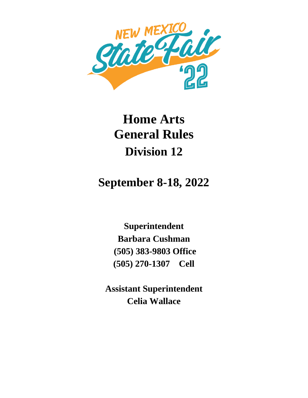

## **Home Arts General Rules Division 12**

## **September 8-18, 2022**

**Superintendent Barbara Cushman (505) 383-9803 Office (505) 270-1307 Cell**

**Assistant Superintendent Celia Wallace**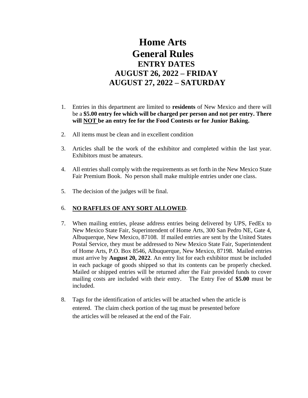## **Home Arts General Rules ENTRY DATES AUGUST 26, 2022 – FRIDAY AUGUST 27, 2022 – SATURDAY**

- 1. Entries in this department are limited to **residents** of New Mexico and there will be a **\$5.00 entry fee which will be charged per person and not per entry. There will NOT be an entry fee for the Food Contests or for Junior Baking.**
- 2. All items must be clean and in excellent condition
- 3. Articles shall be the work of the exhibitor and completed within the last year. Exhibitors must be amateurs.
- 4. All entries shall comply with the requirements as set forth in the New Mexico State Fair Premium Book. No person shall make multiple entries under one class.
- 5. The decision of the judges will be final.

## 6. **NO RAFFLES OF ANY SORT ALLOWED**.

- 7. When mailing entries, please address entries being delivered by UPS, FedEx to New Mexico State Fair, Superintendent of Home Arts, 300 San Pedro NE, Gate 4, Albuquerque, New Mexico, 87108. If mailed entries are sent by the United States Postal Service, they must be addressed to New Mexico State Fair, Superintendent of Home Arts, P.O. Box 8546, Albuquerque, New Mexico, 87198. Mailed entries must arrive by **August 20, 2022**. An entry list for each exhibitor must be included in each package of goods shipped so that its contents can be properly checked. Mailed or shipped entries will be returned after the Fair provided funds to cover mailing costs are included with their entry. The Entry Fee of **\$5.00** must be included.
- 8. Tags for the identification of articles will be attached when the article is entered. The claim check portion of the tag must be presented before the articles will be released at the end of the Fair.